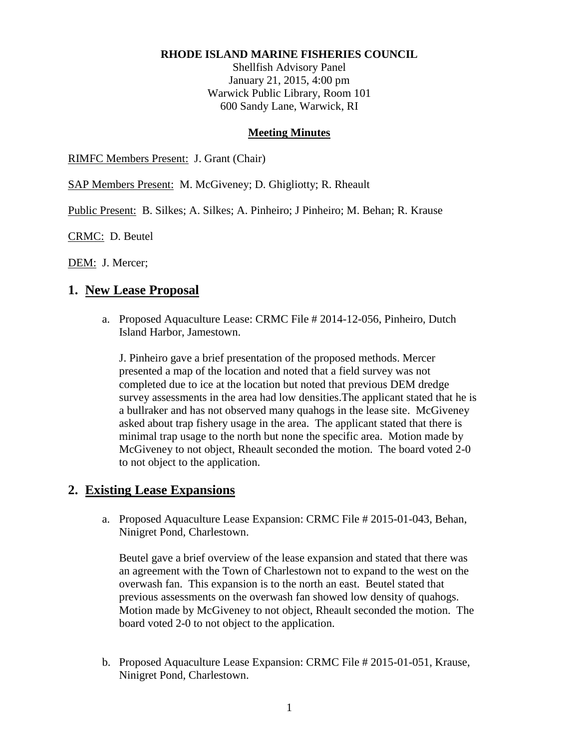#### **RHODE ISLAND MARINE FISHERIES COUNCIL**

Shellfish Advisory Panel January 21, 2015, 4:00 pm Warwick Public Library, Room 101 600 Sandy Lane, Warwick, RI

#### **Meeting Minutes**

RIMFC Members Present: J. Grant (Chair)

SAP Members Present: M. McGiveney; D. Ghigliotty; R. Rheault

Public Present: B. Silkes; A. Silkes; A. Pinheiro; J Pinheiro; M. Behan; R. Krause

CRMC: D. Beutel

DEM: J. Mercer;

## **1. New Lease Proposal**

a. Proposed Aquaculture Lease: CRMC File # 2014-12-056, Pinheiro, Dutch Island Harbor, Jamestown.

J. Pinheiro gave a brief presentation of the proposed methods. Mercer presented a map of the location and noted that a field survey was not completed due to ice at the location but noted that previous DEM dredge survey assessments in the area had low densities.The applicant stated that he is a bullraker and has not observed many quahogs in the lease site. McGiveney asked about trap fishery usage in the area. The applicant stated that there is minimal trap usage to the north but none the specific area. Motion made by McGiveney to not object, Rheault seconded the motion. The board voted 2-0 to not object to the application.

## **2. Existing Lease Expansions**

a. Proposed Aquaculture Lease Expansion: CRMC File # 2015-01-043, Behan, Ninigret Pond, Charlestown.

Beutel gave a brief overview of the lease expansion and stated that there was an agreement with the Town of Charlestown not to expand to the west on the overwash fan. This expansion is to the north an east. Beutel stated that previous assessments on the overwash fan showed low density of quahogs. Motion made by McGiveney to not object, Rheault seconded the motion. The board voted 2-0 to not object to the application.

b. Proposed Aquaculture Lease Expansion: CRMC File # 2015-01-051, Krause, Ninigret Pond, Charlestown.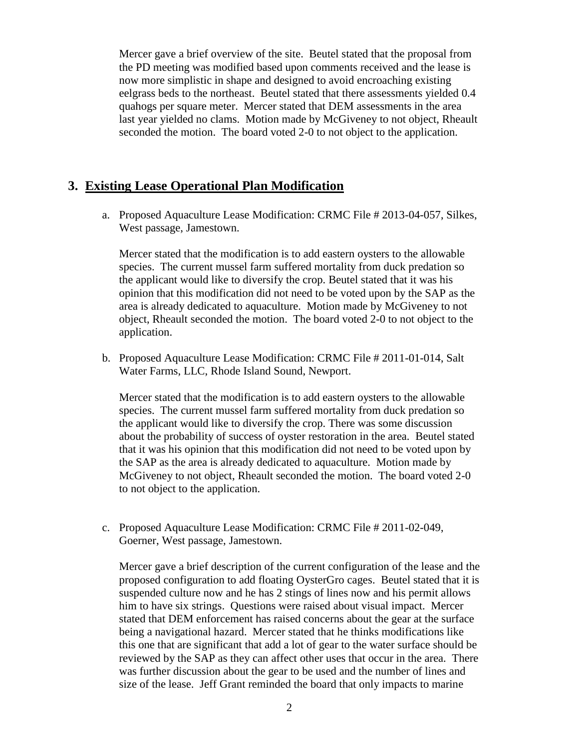Mercer gave a brief overview of the site. Beutel stated that the proposal from the PD meeting was modified based upon comments received and the lease is now more simplistic in shape and designed to avoid encroaching existing eelgrass beds to the northeast. Beutel stated that there assessments yielded 0.4 quahogs per square meter. Mercer stated that DEM assessments in the area last year yielded no clams. Motion made by McGiveney to not object, Rheault seconded the motion. The board voted 2-0 to not object to the application.

# **3. Existing Lease Operational Plan Modification**

a. Proposed Aquaculture Lease Modification: CRMC File # 2013-04-057, Silkes, West passage, Jamestown.

Mercer stated that the modification is to add eastern oysters to the allowable species. The current mussel farm suffered mortality from duck predation so the applicant would like to diversify the crop. Beutel stated that it was his opinion that this modification did not need to be voted upon by the SAP as the area is already dedicated to aquaculture. Motion made by McGiveney to not object, Rheault seconded the motion. The board voted 2-0 to not object to the application.

b. Proposed Aquaculture Lease Modification: CRMC File # 2011-01-014, Salt Water Farms, LLC, Rhode Island Sound, Newport.

Mercer stated that the modification is to add eastern oysters to the allowable species. The current mussel farm suffered mortality from duck predation so the applicant would like to diversify the crop. There was some discussion about the probability of success of oyster restoration in the area. Beutel stated that it was his opinion that this modification did not need to be voted upon by the SAP as the area is already dedicated to aquaculture. Motion made by McGiveney to not object, Rheault seconded the motion. The board voted 2-0 to not object to the application.

c. Proposed Aquaculture Lease Modification: CRMC File # 2011-02-049, Goerner, West passage, Jamestown.

Mercer gave a brief description of the current configuration of the lease and the proposed configuration to add floating OysterGro cages. Beutel stated that it is suspended culture now and he has 2 stings of lines now and his permit allows him to have six strings. Questions were raised about visual impact. Mercer stated that DEM enforcement has raised concerns about the gear at the surface being a navigational hazard. Mercer stated that he thinks modifications like this one that are significant that add a lot of gear to the water surface should be reviewed by the SAP as they can affect other uses that occur in the area. There was further discussion about the gear to be used and the number of lines and size of the lease. Jeff Grant reminded the board that only impacts to marine